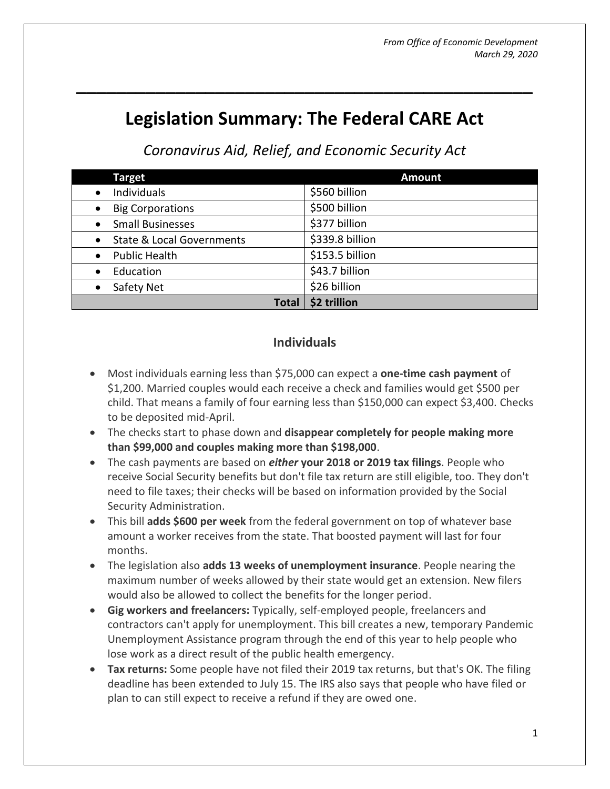# **Legislation Summary: The Federal CARE Act**

**\_\_\_\_\_\_\_\_\_\_\_\_\_\_\_\_\_\_\_\_\_\_\_\_\_\_\_\_\_\_\_\_\_\_\_\_\_\_\_\_\_\_\_\_\_\_**

*Coronavirus Aid, Relief, and Economic Security Act*

| <b>Target</b>                        | <b>Amount</b>   |
|--------------------------------------|-----------------|
| Individuals<br>$\bullet$             | \$560 billion   |
| <b>Big Corporations</b><br>$\bullet$ | \$500 billion   |
| <b>Small Businesses</b>              | \$377 billion   |
| <b>State &amp; Local Governments</b> | \$339.8 billion |
| <b>Public Health</b>                 | \$153.5 billion |
| Education                            | \$43.7 billion  |
| Safety Net                           | \$26 billion    |
| <b>Total</b>                         | \$2 trillion    |

#### **Individuals**

- Most individuals earning less than \$75,000 can expect a **one-time cash payment** of \$1,200. Married couples would each receive a check and families would get \$500 per child. That means a family of four earning less than \$150,000 can expect \$3,400. Checks to be deposited mid-April.
- The checks start to phase down and **disappear completely for people making more than \$99,000 and couples making more than \$198,000**.
- The cash payments are based on *either* **your 2018 or 2019 tax filings**. People who receive Social Security benefits but don't file tax return are still eligible, too. They don't need to file taxes; their checks will be based on information provided by the Social Security Administration.
- This bill **adds \$600 per week** from the federal government on top of whatever base amount a worker receives from the state. That boosted payment will last for four months.
- The legislation also **adds 13 weeks of unemployment insurance**. People nearing the maximum number of weeks allowed by their state would get an extension. New filers would also be allowed to collect the benefits for the longer period.
- **Gig workers and freelancers:** Typically, self-employed people, freelancers and contractors can't apply for unemployment. This bill creates a new, temporary Pandemic Unemployment Assistance program through the end of this year to help people who lose work as a direct result of the public health emergency.
- **Tax returns:** Some people have not filed their 2019 tax returns, but that's OK. The filing deadline has been extended to July 15. The IRS also says that people who have filed or plan to can still expect to receive a refund if they are owed one.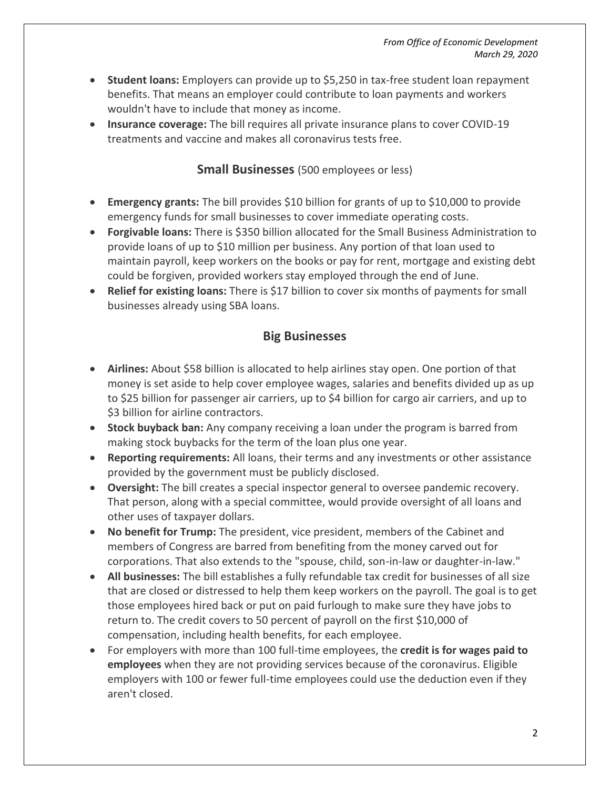- **Student loans:** Employers can provide up to \$5,250 in tax-free student loan repayment benefits. That means an employer could contribute to loan payments and workers wouldn't have to include that money as income.
- **Insurance coverage:** The bill requires all private insurance plans to cover COVID-19 treatments and vaccine and makes all coronavirus tests free.

#### **Small Businesses** (500 employees or less)

- **Emergency grants:** The bill provides \$10 billion for grants of up to \$10,000 to provide emergency funds for small businesses to cover immediate operating costs.
- **Forgivable loans:** There is \$350 billion allocated for the Small Business Administration to provide loans of up to \$10 million per business. Any portion of that loan used to maintain payroll, keep workers on the books or pay for rent, mortgage and existing debt could be forgiven, provided workers stay employed through the end of June.
- **Relief for existing loans:** There is \$17 billion to cover six months of payments for small businesses already using SBA loans.

#### **Big Businesses**

- **Airlines:** About \$58 billion is allocated to help airlines stay open. One portion of that money is set aside to help cover employee wages, salaries and benefits divided up as up to \$25 billion for passenger air carriers, up to \$4 billion for cargo air carriers, and up to \$3 billion for airline contractors.
- **Stock buyback ban:** Any company receiving a loan under the program is barred from making stock buybacks for the term of the loan plus one year.
- **Reporting requirements:** All loans, their terms and any investments or other assistance provided by the government must be publicly disclosed.
- **Oversight:** The bill creates a special inspector general to oversee pandemic recovery. That person, along with a special committee, would provide oversight of all loans and other uses of taxpayer dollars.
- **No benefit for Trump:** The president, vice president, members of the Cabinet and members of Congress are barred from benefiting from the money carved out for corporations. That also extends to the "spouse, child, son-in-law or daughter-in-law."
- **All businesses:** The bill establishes a fully refundable tax credit for businesses of all size that are closed or distressed to help them keep workers on the payroll. The goal is to get those employees hired back or put on paid furlough to make sure they have jobs to return to. The credit covers to 50 percent of payroll on the first \$10,000 of compensation, including health benefits, for each employee.
- For employers with more than 100 full-time employees, the **credit is for wages paid to employees** when they are not providing services because of the coronavirus. Eligible employers with 100 or fewer full-time employees could use the deduction even if they aren't closed.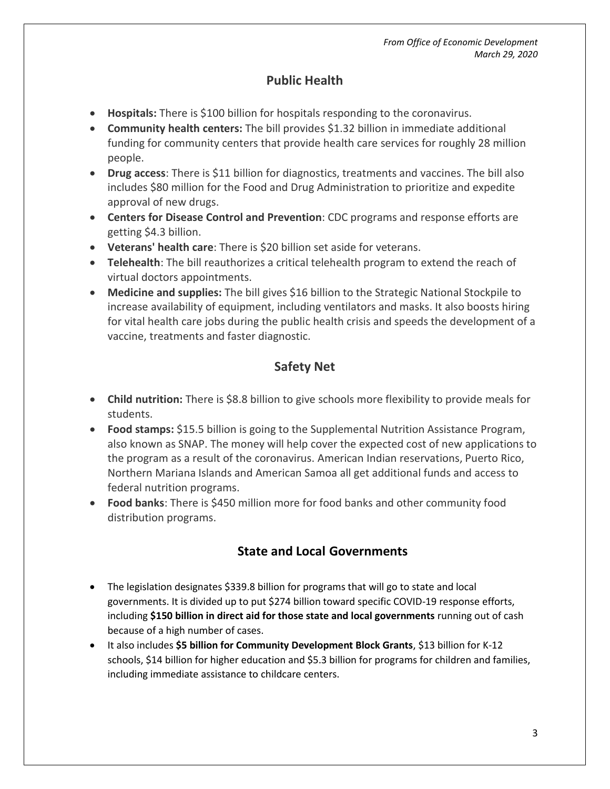#### **Public Health**

- **Hospitals:** There is \$100 billion for hospitals responding to the coronavirus.
- **Community health centers:** The bill provides \$1.32 billion in immediate additional funding for community centers that provide health care services for roughly 28 million people.
- **Drug access**: There is \$11 billion for diagnostics, treatments and vaccines. The bill also includes \$80 million for the Food and Drug Administration to prioritize and expedite approval of new drugs.
- **Centers for Disease Control and Prevention**: CDC programs and response efforts are getting \$4.3 billion.
- **Veterans' health care**: There is \$20 billion set aside for veterans.
- **Telehealth**: The bill reauthorizes a critical telehealth program to extend the reach of virtual doctors appointments.
- **Medicine and supplies:** The bill gives \$16 billion to the Strategic National Stockpile to increase availability of equipment, including ventilators and masks. It also boosts hiring for vital health care jobs during the public health crisis and speeds the development of a vaccine, treatments and faster diagnostic.

# **Safety Net**

- **Child nutrition:** There is \$8.8 billion to give schools more flexibility to provide meals for students.
- **Food stamps:** \$15.5 billion is going to the Supplemental Nutrition Assistance Program, also known as SNAP. The money will help cover the expected cost of new applications to the program as a result of the coronavirus. American Indian reservations, Puerto Rico, Northern Mariana Islands and American Samoa all get additional funds and access to federal nutrition programs.
- **Food banks**: There is \$450 million more for food banks and other community food distribution programs.

# **State and Local Governments**

- The legislation designates \$339.8 billion for programs that will go to state and local governments. It is divided up to put \$274 billion toward specific COVID-19 response efforts, including **\$150 billion in direct aid for those state and local governments** running out of cash because of a high number of cases.
- It also includes **\$5 billion for Community Development Block Grants**, \$13 billion for K-12 schools, \$14 billion for higher education and \$5.3 billion for programs for children and families, including immediate assistance to childcare centers.